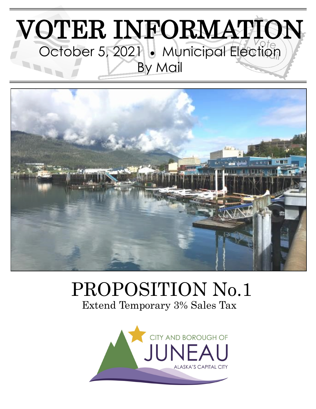# VOTER INFORMATION October 5, 2021 . Municipal Election By Mail



# PROPOSITION No.1 Extend Temporary 3% Sales Tax

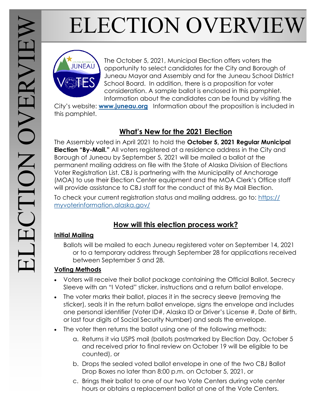# ELECTION OVERVIEW



The October 5, 2021, Municipal Election offers voters the opportunity to select candidates for the City and Borough of Juneau Mayor and Assembly and for the Juneau School District School Board. In addition, there is a proposition for voter consideration. A sample ballot is enclosed in this pamphlet. Information about the candidates can be found by visiting the

City's website: **[www.juneau.org](http://www.juneau.org)** Information about the proposition is included in this pamphlet.

#### **What's New for the 2021 Election**

The Assembly voted in April 2021 to hold the **October 5, 2021 Regular Municipal Election "By-Mail."** All voters registered at a residence address in the City and Borough of Juneau by September 5, 2021 will be mailed a ballot at the permanent mailing address on file with the State of Alaska Division of Elections Voter Registration List. CBJ is partnering with the Municipality of Anchorage (MOA) to use their Election Center equipment and the MOA Clerk's Office staff will provide assistance to CBJ staff for the conduct of this By Mail Election.

To check your current registration status and mailing address, go to: [https://](https://myvoterinformation.alaska.gov/) [myvoterinformation.alaska.gov/](https://myvoterinformation.alaska.gov/)

#### **How will this election process work?**

#### **Initial Mailing**

Ballots will be mailed to each Juneau registered voter on September 14, 2021 or to a temporary address through September 28 for applications received between September 5 and 28.

#### **Voting Methods**

- Voters will receive their ballot package containing the Official Ballot, Secrecy Sleeve with an "I Voted" sticker, instructions and a return ballot envelope.
- The voter marks their ballot, places it in the secrecy sleeve (removing the sticker), seals it in the return ballot envelope, signs the envelope and includes one personal identifier (Voter ID#, Alaska ID or Driver's License #, Date of Birth, or last four digits of Social Security Number) and seals the envelope.
- The voter then returns the ballot using one of the following methods:
	- a. Returns it via USPS mail (ballots postmarked by Election Day, October 5 and received prior to final review on October 19 will be eligible to be counted), or
	- b. Drops the sealed voted ballot envelope in one of the two CBJ Ballot Drop Boxes no later than 8:00 p.m. on October 5, 2021, or
	- c. Brings their ballot to one of our two Vote Centers during vote center hours or obtains a replacement ballot at one of the Vote Centers.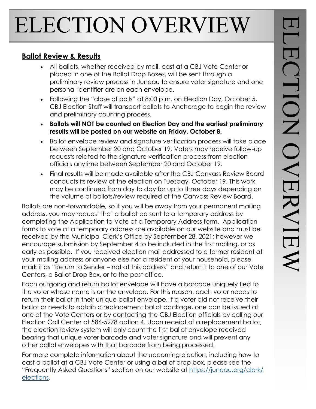# ELECTION OVERVIEW

#### **Ballot Review & Results**

- All ballots, whether received by mail, cast at a CBJ Vote Center or placed in one of the Ballot Drop Boxes, will be sent through a preliminary review process in Juneau to ensure voter signature and one personal identifier are on each envelope.
- Following the "close of polls" at 8:00 p.m. on Election Day, October 5, CBJ Election Staff will transport ballots to Anchorage to begin the review and preliminary counting process.
- **Ballots will NOT be counted on Election Day and the earliest preliminary results will be posted on our website on Friday, October 8.**
- Ballot envelope review and signature verification process will take place between September 20 and October 19. Voters may receive follow-up requests related to the signature verification process from election officials anytime between September 20 and October 19.
- Final results will be made available after the CBJ Canvass Review Board conducts its review of the election on Tuesday, October 19. This work may be continued from day to day for up to three days depending on the volume of ballots/review required of the Canvass Review Board.

Ballots are non-forwardable, so if you will be away from your permanent mailing address, you may request that a ballot be sent to a temporary address by completing the Application to Vote at a Temporary Address form. Application forms to vote at a temporary address are available on our website and must be received by the Municipal Clerk's Office by September 28, 2021; however we encourage submission by September 4 to be included in the first mailing, or as early as possible. If you received election mail addressed to a former resident at your mailing address or anyone else not a resident of your household, please mark it as "Return to Sender – not at this address" and return it to one of our Vote Centers, a Ballot Drop Box, or to the post office.

Each outgoing and return ballot envelope will have a barcode uniquely tied to the voter whose name is on the envelope. For this reason, each voter needs to return their ballot in their unique ballot envelope. If a voter did not receive their ballot or needs to obtain a replacement ballot package, one can be issued at one of the Vote Centers or by contacting the CBJ Election officials by calling our Election Call Center at 586-5278 option 4. Upon receipt of a replacement ballot, the election review system will only count the first ballot envelope received bearing that unique voter barcode and voter signature and will prevent any other ballot envelopes with that barcode from being processed.

For more complete information about the upcoming election, including how to cast a ballot at a CBJ Vote Center or using a ballot drop box, please see the "Frequently Asked Questions" section on our website at [https://juneau.org/clerk/](https://juneau.org/clerk/elections) [elections.](https://juneau.org/clerk/elections)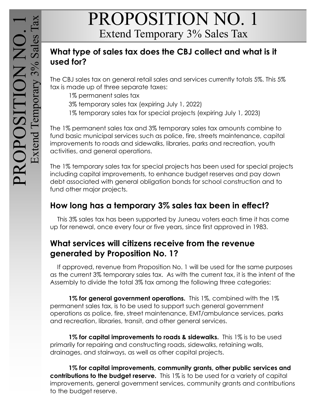# PROPOSITION NO. 1 Extend Temporary 3% Sales Tax

#### **What type of sales tax does the CBJ collect and what is it used for?**

The CBJ sales tax on general retail sales and services currently totals 5%. This 5% tax is made up of three separate taxes:

- 1% permanent sales tax
- 3% temporary sales tax (expiring July 1, 2022)
- 1% temporary sales tax for special projects (expiring July 1, 2023)

The 1% permanent sales tax and 3% temporary sales tax amounts combine to fund basic municipal services such as police, fire, streets maintenance, capital improvements to roads and sidewalks, libraries, parks and recreation, youth activities, and general operations.

The 1% temporary sales tax for special projects has been used for special projects including capital improvements, to enhance budget reserves and pay down debt associated with general obligation bonds for school construction and to fund other major projects.

#### **How long has a temporary 3% sales tax been in effect?**

 This 3% sales tax has been supported by Juneau voters each time it has come up for renewal, once every four or five years, since first approved in 1983.

#### **What services will citizens receive from the revenue generated by Proposition No. 1?**

 If approved, revenue from Proposition No. 1 will be used for the same purposes as the current 3% temporary sales tax. As with the current tax, it is the intent of the Assembly to divide the total 3% tax among the following three categories:

**1% for general government operations.** This 1%, combined with the 1% permanent sales tax, is to be used to support such general government operations as police, fire, street maintenance, EMT/ambulance services, parks and recreation, libraries, transit, and other general services.

**1% for capital improvements to roads & sidewalks.** This 1% is to be used primarily for repairing and constructing roads, sidewalks, retaining walls, drainages, and stairways, as well as other capital projects.

**1% for capital improvements, community grants, other public services and contributions to the budget reserve.** This 1% is to be used for a variety of capital improvements, general government services, community grants and contributions to the budget reserve.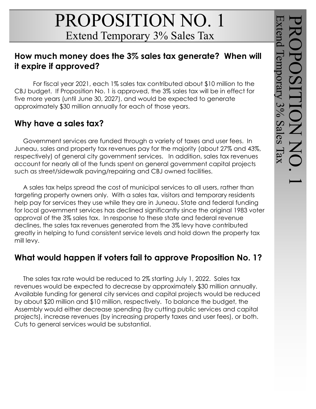# PROPOSITION NO. 1 Extend Temporary 3% Sales Tax

#### **How much money does the 3% sales tax generate? When will it expire if approved?**

For fiscal year 2021, each 1% sales tax contributed about \$10 million to the CBJ budget. If Proposition No. 1 is approved, the 3% sales tax will be in effect for five more years (until June 30, 2027), and would be expected to generate approximately \$30 million annually for each of those years.

#### **Why have a sales tax?**

 Government services are funded through a variety of taxes and user fees. In Juneau, sales and property tax revenues pay for the majority (about 27% and 43%, respectively) of general city government services. In addition, sales tax revenues account for nearly all of the funds spent on general government capital projects such as street/sidewalk paving/repairing and CBJ owned facilities.

 A sales tax helps spread the cost of municipal services to all users, rather than targeting property owners only. With a sales tax, visitors and temporary residents help pay for services they use while they are in Juneau. State and federal funding for local government services has declined significantly since the original 1983 voter approval of the 3% sales tax. In response to these state and federal revenue declines, the sales tax revenues generated from the 3% levy have contributed greatly in helping to fund consistent service levels and hold down the property tax mill levy.

#### **What would happen if voters fail to approve Proposition No. 1?**

 The sales tax rate would be reduced to 2% starting July 1, 2022. Sales tax revenues would be expected to decrease by approximately \$30 million annually. Available funding for general city services and capital projects would be reduced by about \$20 million and \$10 million, respectively. To balance the budget, the Assembly would either decrease spending (by cutting public services and capital projects), increase revenues (by increasing property taxes and user fees), or both. Cuts to general services would be substantial.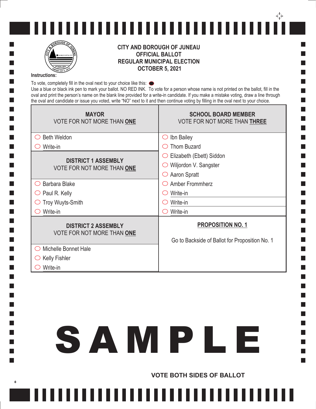



#### **CITY AND BOROUGH OF JUNEAU OFFICIAL BALLOT REGULAR MUNICIPAL ELECTION OCTOBER 5, 2021**

#### **Instructions:**

 $\Box$ 

**Tale Tale**  $\Box$ 

 $\Box$  $\Box$ 

П  $\Box$  $\Box$  $\Box$  $\Box$  $\Box$ П П П  $\blacksquare$  $\Box$  $\overline{\phantom{a}}$  $\blacksquare$  $\Box$  $\Box$ 

 $\Box$  $\Box$  $\Box$  $\Box$  $\Box$  $\Box$ 

**Tale** 

 $\Box$ 

**Tale** 

 $\ddot{}$ 

To vote, completely fill in the oval next to your choice like this:  $\bullet$ Use a blue or black ink pen to mark your ballot. NO RED INK. To vote for a person whose name is not printed on the ballot, fill in the oval and print the person's name on the blank line provided for a write-in candidate. If you make a mistake voting, draw a line through the oval and candidate or issue you voted, write "NO" next to it and then continue voting by filling in the oval next to your choice.

m. ٦

m.

**Contract** 

| <b>MAYOR</b><br>VOTE FOR NOT MORE THAN ONE               | <b>SCHOOL BOARD MEMBER</b><br><b>VOTE FOR NOT MORE THAN THREE</b>          |
|----------------------------------------------------------|----------------------------------------------------------------------------|
| <b>Beth Weldon</b><br>$($ )                              | Ibn Bailey<br>( )                                                          |
| Write-in                                                 | <b>Thom Buzard</b>                                                         |
| <b>DISTRICT 1 ASSEMBLY</b><br>VOTE FOR NOT MORE THAN ONE | Elizabeth (Ebett) Siddon                                                   |
|                                                          | Wiljordon V. Sangster                                                      |
|                                                          | Aaron Spratt<br>( )                                                        |
| Barbara Blake                                            | Amber Frommherz                                                            |
| Paul R. Kelly<br>$\bigcirc$                              | Write-in                                                                   |
| <b>Troy Wuyts-Smith</b>                                  | Write-in                                                                   |
| Write-in                                                 | Write-in                                                                   |
| <b>DISTRICT 2 ASSEMBLY</b><br>VOTE FOR NOT MORE THAN ONE | <b>PROPOSITION NO. 1</b><br>Go to Backside of Ballot for Proposition No. 1 |
| Michelle Bonnet Hale                                     |                                                                            |
| <b>Kelly Fishler</b>                                     |                                                                            |
| Write-in                                                 |                                                                            |

# SAMPLE

,,,,,,,,,,,,,,,,,,,,,,,,,

**VOTE BOTH SIDES OF BALLOT**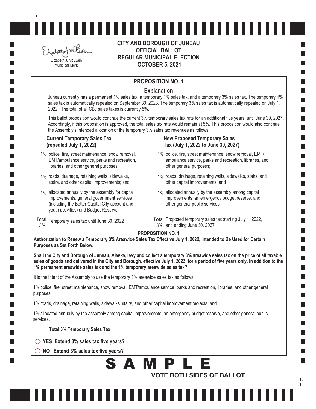Elgalizet miller Elizabeth J. McEwen Municipal Clerk

 $\ddot{}$ 

**CITY AND BOROUGH OF JUNEAU OFFICIAL BALLOT REGULAR MUNICIPAL ELECTION OCTOBER 5, 2021**

,,,,,,,,,,,,,,,,,,,,,,,,,,,,,

#### **PROPOSITION NO. 1**

#### **Explanation**

Juneau currently has a permanent 1% sales tax, a temporary 1% sales tax, and a temporary 3% sales tax. The temporary 1% sales tax is automatically repealed on September 30, 2023. The temporary 3% sales tax is automatically repealed on July 1, 2022. The total of all CBJ sales taxes is currently 5%.

This ballot proposition would continue the current 3% temporary sales tax rate for an additional five years, until June 30, 2027. Accordingly, if this proposition is approved, the total sales tax rate would remain at 5%. This proposition would also continue the Assembly's intended allocation of the temporary 3% sales tax revenues as follows:

#### **Current Temporary Sales Tax (repealed July 1, 2022)**

- 1% police, fire, street maintenance, snow removal, EMT/ambulance service, parks and recreation, libraries, and other general purposes;
- 1% roads, drainage, retaining walls, sidewalks, stairs, and other capital improvements; and
- 1% allocated annually by the assembly for capital improvements, general government services (including the Better Capital City account and youth activities) and Budget Reserve.
- **Total** Temporary sales tax until June 30, 2022  **3%**

#### **New Proposed Temporary Sales Tax (July 1, 2022 to June 30, 2027)**

- 1% police, fire, street maintenance, snow removal, EMT/ ambulance service, parks and recreation, libraries, and other general purposes;
- 1% roads, drainage, retaining walls, sidewalks, stairs, and other capital improvements; and
- 1% allocated annually by the assembly among capital improvements, an emergency budget reserve, and other general public services.
- **Total** Proposed temporary sales tax starting July 1, 2022, **3%** and ending June 30, 2027

↔

#### **PROPOSITION NO. 1**

**Authorization to Renew a Temporary 3% Areawide Sales Tax Effective July 1, 2022, Intended to Be Used for Certain Purposes as Set Forth Below.**

**Shall the City and Borough of Juneau, Alaska, levy and collect a temporary 3% areawide sales tax on the price of all taxable sales of goods and delivered in the City and Borough, effective July 1, 2022, for a period of five years only, in addition to the 1% permanent areawide sales tax and the 1% temporary areawide sales tax?** 

It is the intent of the Assembly to use the temporary 3% areawide sales tax as follows:

1% police, fire, street maintenance, snow removal, EMT/ambulance service, parks and recreation, libraries, and other general purposes;

1% roads, drainage, retaining walls, sidewalks, stairs, and other capital improvement projects; and

1% allocated annually by the assembly among capital improvements, an emergency budget reserve, and other general public services.

**Total 3% Temporary Sales Tax**

- **YES Extend 3% sales tax five years?**
- **NO Extend 3% sales tax five years?**

#### **VOTE BOTH SIDES OF BALLOT** SAMPLE